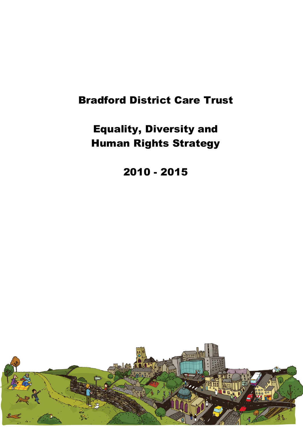# **Bradford District Care Trust**

**Equality, Diversity and Human Rights Strategy** 

**2010 2015**

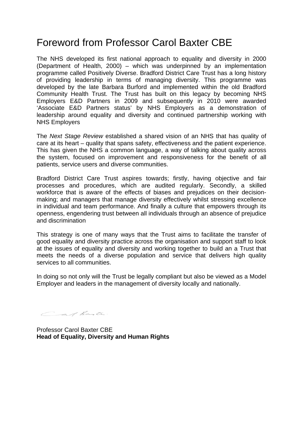# Foreword from Professor Carol Baxter CBE

The NHS developed its first national approach to equality and diversity in 2000 (Department of Health, 2000) – which was underpinned by an implementation programme called Positively Diverse. Bradford District Care Trust has a long history of providing leadership in terms of managing diversity. This programme was developed by the late Barbara Burford and implemented within the old Bradford Community Health Trust. The Trust has built on this legacy by becoming NHS Employers E&D Partners in 2009 and subsequently in 2010 were awarded 'Associate E&D Partners status' by NHS Employers as a demonstration of leadership around equality and diversity and continued partnership working with NHS Employers

The *Next Stage Review* established a shared vision of an NHS that has quality of care at its heart – quality that spans safety, effectiveness and the patient experience. This has given the NHS a common language, a way of talking about quality across the system, focused on improvement and responsiveness for the benefit of all patients, service users and diverse communities.

Bradford District Care Trust aspires towards; firstly, having objective and fair processes and procedures, which are audited regularly. Secondly, a skilled workforce that is aware of the effects of biases and prejudices on their decisionmaking; and managers that manage diversity effectively whilst stressing excellence in individual and team performance. And finally a culture that empowers through its openness, engendering trust between all individuals through an absence of prejudice and discrimination

This strategy is one of many ways that the Trust aims to facilitate the transfer of good equality and diversity practice across the organisation and support staff to look at the issues of equality and diversity and working together to build an a Trust that meets the needs of a diverse population and service that delivers high quality services to all communities.

In doing so not only will the Trust be legally compliant but also be viewed as a Model Employer and leaders in the management of diversity locally and nationally.

Car Bante.

Professor Carol Baxter CBE **Head of Equality, Diversity and Human Rights**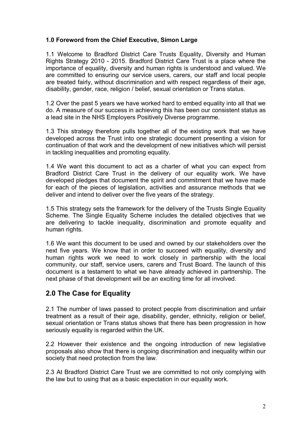### **1.0 Foreword from the Chief Executive, Simon Large**

1.1 Welcome to Bradford District Care Trusts Equality, Diversity and Human Rights Strategy 2010 2015. Bradford District Care Trust is a place where the importance of equality, diversity and human rights is understood and valued. We are committed to ensuring our service users, carers, our staff and local people are treated fairly, without discrimination and with respect regardless of their age, disability, gender, race, religion / belief, sexual orientation or Trans status.

1.2 Over the past 5 years we have worked hard to embed equality into all that we do. A measure of our success in achieving this has been our consistent status as a lead site in the NHS Employers Positively Diverse programme.

1.3 This strategy therefore pulls together all of the existing work that we have developed across the Trust into one strategic document presenting a vision for continuation of that work and the development of new initiatives which will persist in tackling inequalities and promoting equality.

1.4 We want this document to act as a charter of what you can expect from Bradford District Care Trust in the delivery of our equality work. We have developed pledges that document the spirit and commitment that we have made for each of the pieces of legislation, activities and assurance methods that we deliver and intend to deliver over the five years of the strategy.

1.5 This strategy sets the framework for the delivery of the Trusts Single Equality Scheme. The Single Equality Scheme includes the detailed objectives that we are delivering to tackle inequality, discrimination and promote equality and human rights.

1.6 We want this document to be used and owned by our stakeholders over the next five years. We know that in order to succeed with equality, diversity and human rights work we need to work closely in partnership with the local community, our staff, service users, carers and Trust Board. The launch of this document is a testament to what we have already achieved in partnership. The next phase of that development will be an exciting time for all involved.

# **2.0 The Case for Equality**

2.1 The number of laws passed to protect people from discrimination and unfair treatment as a result of their age, disability, gender, ethnicity, religion or belief, sexual orientation or Trans status shows that there has been progression in how seriously equality is regarded within the UK.

2.2 However their existence and the ongoing introduction of new legislative proposals also show that there is ongoing discrimination and inequality within our society that need protection from the law.

2.3 At Bradford District Care Trust we are committed to not only complying with the law but to using that as a basic expectation in our equality work.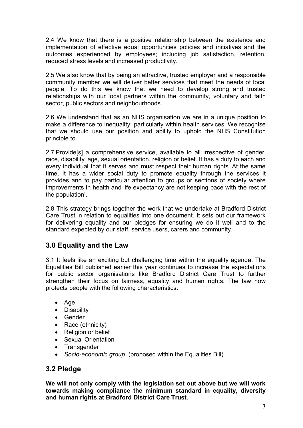2.4 We know that there is a positive relationship between the existence and implementation of effective equal opportunities policies and initiatives and the outcomes experienced by employees; including job satisfaction, retention, reduced stress levels and increased productivity.

2.5 We also know that by being an attractive, trusted employer and a responsible community member we will deliver better services that meet the needs of local people. To do this we know that we need to develop strong and trusted relationships with our local partners within the community, voluntary and faith sector, public sectors and neighbourhoods.

2.6 We understand that as an NHS organisation we are in a unique position to make a difference to inequality; particularly within health services. We recognise that we should use our position and ability to uphold the NHS Constitution principle to

2.7'Provide[s] a comprehensive service, available to all irrespective of gender, race, disability, age, sexual orientation, religion or belief. It has a duty to each and every individual that it serves and must respect their human rights. At the same time, it has a wider social duty to promote equality through the services it provides and to pay particular attention to groups or sections of society where improvements in health and life expectancy are not keeping pace with the rest of the population'.

2.8 This strategy brings together the work that we undertake at Bradford District Care Trust in relation to equalities into one document. It sets out our framework for delivering equality and our pledges for ensuring we do it well and to the standard expected by our staff, service users, carers and community.

# **3.0 Equality and the Law**

3.1 It feels like an exciting but challenging time within the equality agenda. The Equalities Bill published earlier this year continues to increase the expectations for public sector organisations like Bradford District Care Trust to further strengthen their focus on fairness, equality and human rights. The law now protects people with the following characteristics:

- · Age
- · Disability
- · Gender
- Race (ethnicity)
- Religion or belief
- Sexual Orientation
- · Transgender
- Socio-economic group (proposed within the Equalities Bill)

# **3.2 Pledge**

**We will not only comply with the legislation set out above but we will work towards making compliance the minimum standard in equality, diversity and human rights at Bradford District Care Trust.**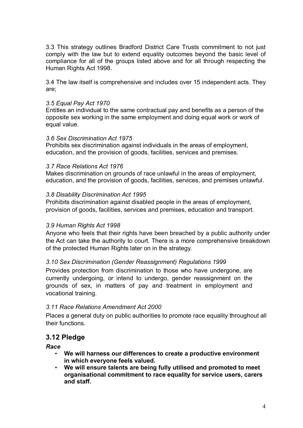3.3 This strategy outlines Bradford District Care Trusts commitment to not just comply with the law but to extend equality outcomes beyond the basic level of compliance for all of the groups listed above and for all through respecting the Human Rights Act 1998.

3.4 The law itself is comprehensive and includes over 15 independent acts. They are;

### *3.5 Equal Pay Act 1970*

Entitles an individual to the same contractual pay and benefits as a person of the opposite sex working in the same employment and doing equal work or work of equal value.

### *3.6 Sex Discrimination Act 1975*

Prohibits sex discrimination against individuals in the areas of employment, education, and the provision of goods, facilities, services and premises.

#### *3.7 Race Relations Act 1976*

Makes discrimination on grounds of race unlawful in the areas of employment, education, and the provision of goods, facilities, services, and premises unlawful.

#### *3.8 Disability Discrimination Act 1995*

Prohibits discrimination against disabled people in the areas of employment, provision of goods, facilities, services and premises, education and transport.

### *3.9 Human Rights Act 1998*

Anyone who feels that their rights have been breached by a public authority under the Act can take the authority to court. There is a more comprehensive breakdown of the protected Human Rights later on in the strategy.

### *3.10 Sex Discrimination (Gender Reassignment) Regulations 1999*

Provides protection from discrimination to those who have undergone, are currently undergoing, or intend to undergo, gender reassignment on the grounds of sex, in matters of pay and treatment in employment and vocational training.

### *3.11 Race Relations Amendment Act 2000*

Places a general duty on public authorities to promote race equality throughout all their functions.

### **3.12 Pledge**

*Race*

- **We will harness our differences to create a productive environment in which everyone feels valued.**
- **We will ensure talents are being fully utilised and promoted to meet organisational commitment to race equality for service users, carers and staff.**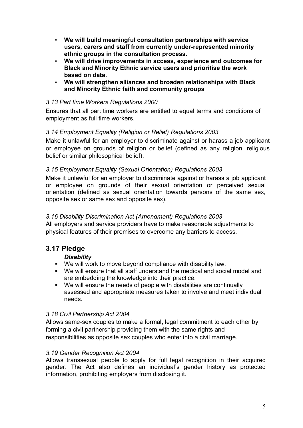- **We will build meaningful consultation partnerships with service users, carers and staff from currently underrepresented minority ethnic groups in the consultation process.**
- **We will drive improvements in access, experience and outcomes for Black and Minority Ethnic service users and prioritise the work based on data.**
- **We will strengthen alliances and broaden relationships with Black and Minority Ethnic faith and community groups**

### *3.13 Part time Workers Regulations 2000*

Ensures that all part time workers are entitled to equal terms and conditions of employment as full time workers.

# *3.14 Employment Equality (Religion or Relief) Regulations 2003*

Make it unlawful for an employer to discriminate against or harass a job applicant or employee on grounds of religion or belief (defined as any religion, religious belief or similar philosophical belief).

### *3.15 Employment Equality (Sexual Orientation) Regulations 2003*

Make it unlawful for an employer to discriminate against or harass a job applicant or employee on grounds of their sexual orientation or perceived sexual orientation (defined as sexual orientation towards persons of the same sex, opposite sex or same sex and opposite sex).

### *3.16 Disability Discrimination Act (Amendment) Regulations 2003*

All employers and service providers have to make reasonable adjustments to physical features of their premises to overcome any barriers to access.

# **3.17 Pledge**

# *Disability*

- We will work to move beyond compliance with disability law.
- We will ensure that all staff understand the medical and social model and are embedding the knowledge into their practice.
- We will ensure the needs of people with disabilities are continually assessed and appropriate measures taken to involve and meet individual needs.

### *3.18 Civil Partnership Act 2004*

Allows same-sex couples to make a formal, legal commitment to each other by forming a civil partnership providing them with the same rights and responsibilities as opposite sex couples who enter into a civil marriage.

### *3.19 Gender Recognition Act 2004*

Allows transsexual people to apply for full legal recognition in their acquired gender. The Act also defines an individual's gender history as protected information, prohibiting employers from disclosing it.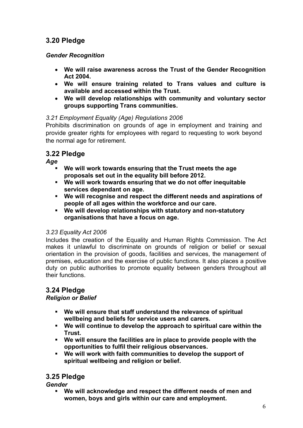# **3.20 Pledge**

### *Gender Recognition*

- · **We will raise awareness across the Trust of the Gender Recognition Act 2004.**
- · **We will ensure training related to Trans values and culture is available and accessed within the Trust.**
- · **We will develop relationships with community and voluntary sector groups supporting Trans communities.**

# *3.21 Employment Equality (Age) Regulations 2006*

Prohibits discrimination on grounds of age in employment and training and provide greater rights for employees with regard to requesting to work beyond the normal age for retirement.

# **3.22 Pledge**

*Age* 

- ß **We will work towards ensuring that the Trust meets the age proposals set out in the equality bill before 2012.**
- ß **We will work towards ensuring that we do not offer inequitable services dependant on age.**
- ß **We will recognise and respect the different needs and aspirations of people of all ages within the workforce and our care.**
- **We will develop relationships with statutory and non-statutory organisations that have a focus on age.**

# *3.23 Equality Act 2006*

Includes the creation of the Equality and Human Rights Commission. The Act makes it unlawful to discriminate on grounds of religion or belief or sexual orientation in the provision of goods, facilities and services, the management of premises, education and the exercise of public functions. It also places a positive duty on public authorities to promote equality between genders throughout all their functions.

# **3.24 Pledge**

# *Religion or Belief*

- ß **We will ensure that staff understand the relevance of spiritual wellbeing and beliefs for service users and carers.**
- ß **We will continue to develop the approach to spiritual care within the Trust.**
- ß **We will ensure the facilities are in place to provide people with the opportunities to fulfil their religious observances.**
- ß **We will work with faith communities to develop the support of spiritual wellbeing and religion or belief.**

# **3.25 Pledge**

*Gender* 

ß **We will acknowledge and respect the different needs of men and women, boys and girls within our care and employment.**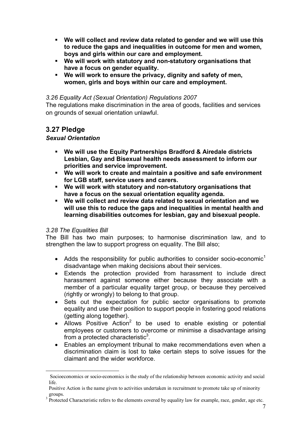- ß **We will collect and review data related to gender and we will use this to reduce the gaps and inequalities in outcome for men and women, boys and girls within our care and employment.**
- **We will work with statutory and non-statutory organisations that have a focus on gender equality.**
- **We will work to ensure the privacy, dignity and safety of men, women, girls and boys within our care and employment.**

### *3.26 Equality Act (Sexual Orientation) Regulations 2007*

The regulations make discrimination in the area of goods, facilities and services on grounds of sexual orientation unlawful.

# **3.27 Pledge**

### *Sexual Orientation*

- ß **We will use the Equity Partnerships Bradford & Airedale districts Lesbian, Gay and Bisexual health needs assessment to inform our priorities and service improvement.**
- ß **We will work to create and maintain a positive and safe environment for LGB staff, service users and carers.**
- ß **We will work with statutory and nonstatutory organisations that have a focus on the sexual orientation equality agenda.**
- ß **We will collect and review data related to sexual orientation and we will use this to reduce the gaps and inequalities in mental health and learning disabilities outcomes for lesbian, gay and bisexual people.**

### *3.28 The Equalities Bill*

The Bill has two main purposes; to harmonise discrimination law, and to strengthen the law to support progress on equality. The Bill also;

- Adds the responsibility for public authorities to consider socio-economic<sup>1</sup> disadvantage when making decisions about their services.
- · Extends the protection provided from harassment to include direct harassment against someone either because they associate with a member of a particular equality target group, or because they perceived (rightly or wrongly) to belong to that group.
- · Sets out the expectation for public sector organisations to promote equality and use their position to support people in fostering good relations (getting along together).
- Allows Positive Action<sup>2</sup> to be used to enable existing or potential employees or customers to overcome or minimise a disadvantage arising from a protected characteristic $3$ .
- · Enables an employment tribunal to make recommendations even when a discrimination claim is lost to take certain steps to solve issues for the claimant and the wider workforce.

Socioeconomics or socioeconomics is the study of the relationship between economic activity and social life.

Positive Action is the name given to activities undertaken in recruitment to promote take up of minority

groups.<br><sup>3</sup> Protected Characteristic refers to the elements covered by equality law for example, race, gender, age etc.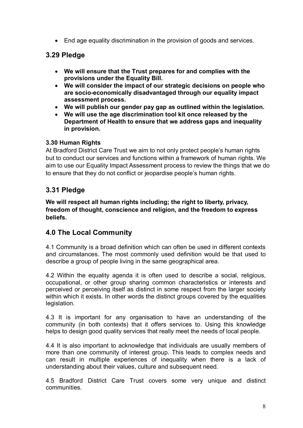• End age equality discrimination in the provision of goods and services.

# **3.29 Pledge**

- · **We will ensure that the Trust prepares for and complies with the provisions under the Equality Bill.**
- · **We will consider the impact of our strategic decisions on people who** are socio-economically disadvantaged through our equality impact **assessment process.**
- · **We will publish our gender pay gap as outlined within the legislation.**
- · **We will use the age discrimination tool kit once released by the Department of Health to ensure that we address gaps and inequality in provision.**

### **3.30 Human Rights**

At Bradford District Care Trust we aim to not only protect people's human rights but to conduct our services and functions within a framework of human rights. We aim to use our Equality Impact Assessment process to review the things that we do to ensure that they do not conflict or jeopardise people's human rights.

# **3.31 Pledge**

**We will respect all human rights including; the right to liberty, privacy, freedom of thought, conscience and religion, and the freedom to express beliefs.**

# **4.0 The Local Community**

4.1 Community is a broad definition which can often be used in different contexts and circumstances. The most commonly used definition would be that used to describe a group of people living in the same geographical area.

4.2 Within the equality agenda it is often used to describe a social, religious, occupational, or other group sharing common characteristics or interests and perceived or perceiving itself as distinct in some respect from the larger society within which it exists. In other words the distinct groups covered by the equalities legislation.

4.3 It is important for any organisation to have an understanding of the community (in both contexts) that it offers services to. Using this knowledge helps to design good quality services that really meet the needs of local people.

4.4 It is also important to acknowledge that individuals are usually members of more than one community of interest group. This leads to complex needs and can result in multiple experiences of inequality when there is a lack of understanding about their values, culture and subsequent need.

4.5 Bradford District Care Trust covers some very unique and distinct communities.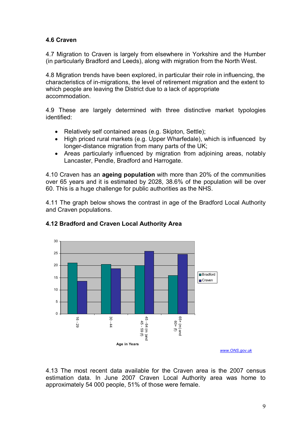### **4.6 Craven**

4.7 Migration to Craven is largely from elsewhere in Yorkshire and the Humber (in particularly Bradford and Leeds), along with migration from the North West.

4.8 Migration trends have been explored, in particular their role in influencing, the characteristics of in-migrations, the level of retirement migration and the extent to which people are leaving the District due to a lack of appropriate accommodation.

4.9 These are largely determined with three distinctive market typologies identified:

- · Relatively self contained areas (e.g. Skipton, Settle);
- High priced rural markets (e.g. Upper Wharfedale), which is influenced by longer-distance migration from many parts of the UK;
- · Areas particularly influenced by migration from adjoining areas, notably Lancaster, Pendle, Bradford and Harrogate.

4.10 Craven has an **ageing population** with more than 20% of the communities over 65 years and it is estimated by 2028, 38.6% of the population will be over 60. This is a huge challenge for public authorities as the NHS.

4.11 The graph below shows the contrast in age of the Bradford Local Authority and Craven populations.



### **4.12 Bradford and Craven Local Authority Area**

*[www.ONS.gov.uk](http://www.ons.gov.uk/)*

4.13 The most recent data available for the Craven area is the 2007 census estimation data. In June 2007 Craven Local Authority area was home to approximately 54 000 people, 51% of those were female.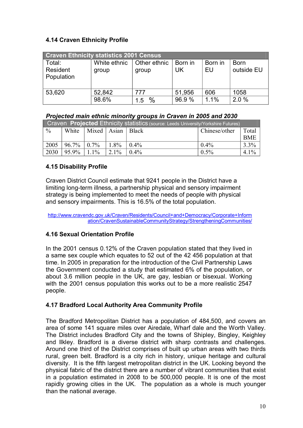### **4.14 Craven Ethnicity Profile**

| <b>Craven Ethnicity statistics 2001 Census</b> |                       |                       |               |               |                           |  |  |  |  |
|------------------------------------------------|-----------------------|-----------------------|---------------|---------------|---------------------------|--|--|--|--|
| Total:<br>Resident<br>Population               | White ethnic<br>group | Other ethnic<br>group | Born in<br>UK | Born in<br>EU | <b>Born</b><br>outside EU |  |  |  |  |
| 53,620                                         | 52,842                | 777                   | 51,956        | 606           | 1058                      |  |  |  |  |
|                                                | 98.6%                 | $\frac{0}{0}$<br>1.5  | 96.9%         | 1.1%          | 2.0%                      |  |  |  |  |

### *Projected main ethnic minority groups in Craven in 2005 and 2030*

| Craven Projected Ethnicity statistics (source: Leeds University/Yorkshire Futures) |                     |             |         |         |               |            |  |  |
|------------------------------------------------------------------------------------|---------------------|-------------|---------|---------|---------------|------------|--|--|
| $\frac{0}{0}$                                                                      | White               | Mixed Asian |         | Black   | Chinese/other | Total      |  |  |
|                                                                                    |                     |             |         |         |               | <b>BME</b> |  |  |
| 2005                                                                               | $96.7\% \div 0.7\%$ |             | 1.8%    | $0.4\%$ | $0.4\%$       | $3.3\%$    |  |  |
| 2030                                                                               | 95.9%               | $1.1\%$     | $2.1\%$ | $0.4\%$ | $0.5\%$       | $4.1\%$    |  |  |

### **4.15 Disability Profile**

Craven District Council estimate that 9241 people in the District have a limiting long-term illness, a partnership physical and sensory impairment strategy is being implemented to meet the needs of people with physical and sensory impairments. This is 16.5% of the total population.

[http://www.cravendc.gov.uk/Craven/Residents/Council+and+Democracy/Corporate+Inform](http://www.cravendc.gov.uk/Craven/Residents/Council+and+Democracy/Corporate+Information/CravenSustainableCommunityStrategy/StrengtheningCommunities/) ation/CravenSustainableCommunityStrategy/StrengtheningCommunities/

### **4.16 Sexual Orientation Profile**

In the 2001 census 0.12% of the Craven population stated that they lived in a same sex couple which equates to 52 out of the 42 456 population at that time. In 2005 in preparation for the introduction of the Civil Partnership Laws the Government conducted a study that estimated 6% of the population, or about 3.6 million people in the UK, are gay, lesbian or bisexual. Working with the 2001 census population this works out to be a more realistic 2547 people.

### **4.17 Bradford Local Authority Area Community Profile**

The Bradford Metropolitan District has a population of 484,500, and covers an area of some 141 square miles over Airedale, Wharf dale and the Worth Valley. The District includes Bradford City and the towns of Shipley, Bingley, Keighley and Ilkley. Bradford is a diverse district with sharp contrasts and challenges. Around one third of the District comprises of built up urban areas with two thirds rural, green belt. Bradford is a city rich in history, unique heritage and cultural diversity. It is the fifth largest metropolitan district in the UK. Looking beyond the physical fabric of the district there are a number of vibrant communities that exist in a population estimated in 2008 to be 500,000 people. It is one of the most rapidly growing cities in the UK. The population as a whole is much younger than the national average.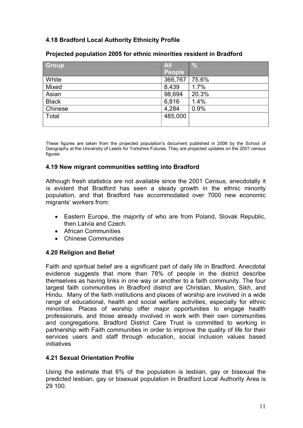### **4.18 Bradford Local Authority Ethnicity Profile**

| <b>Group</b> | AII           | $\frac{0}{0}$ |
|--------------|---------------|---------------|
|              | <b>People</b> |               |
| White        | 366,767       | 75.6%         |
| Mixed        | 8,439         | 1.7%          |
| Asian        | 98,694        | 20.3%         |
| <b>Black</b> | 6,816         | 1.4%          |
| Chinese      | 4,284         | 0.9%          |
| Total        | 485,000       |               |
|              |               |               |

### **Projected population 2005 for ethnic minorities resident in Bradford**

These figures are taken from the projected population's document published in 2006 by the School of Geography at the University of Leeds for Yorkshire Futures. They are projected updates on the 2001 census figures

### **4.19 New migrant communities settling into Bradford**

Although fresh statistics are not available since the 2001 Census, anecdotally it is evident that Bradford has seen a steady growth in the ethnic minority population, and that Bradford has accommodated over 7000 new economic migrants' workers from:

- · Eastern Europe, the majority of who are from Poland, Slovak Republic, then Latvia and Czech.
- · African Communities
- · Chinese Communities

### **4.20 Religion and Belief**

Faith and spiritual belief are a significant part of daily life in Bradford. Anecdotal evidence suggests that more than 78% of people in the district describe themselves as having links in one way or another to a faith community. The four largest faith communities in Bradford district are Christian, Muslim, Sikh, and Hindu. Many of the faith institutions and places of worship are involved in a wide range of educational, health and social welfare activities, especially for ethnic minorities. Places of worship offer major opportunities to engage health professionals, and those already involved in work with their own communities and congregations. Bradford District Care Trust is committed to working in partnership with Faith communities in order to improve the quality of life for their services users and staff through education, social inclusion values based initiatives

### **4.21 Sexual Orientation Profile**

Using the estimate that 6% of the population is lesbian, gay or bisexual the predicted lesbian, gay or bisexual population in Bradford Local Authority Area is 29 100.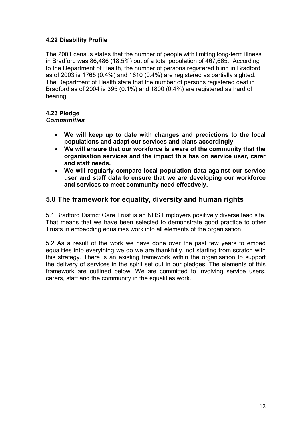### **4.22 Disability Profile**

The 2001 census states that the number of people with limiting long-term illness in Bradford was 86,486 (18.5%) out of a total population of 467,665. According to the Department of Health, the number of persons registered blind in Bradford as of 2003 is 1765 (0.4%) and 1810 (0.4%) are registered as partially sighted. The Department of Health state that the number of persons registered deaf in Bradford as of 2004 is 395 (0.1%) and 1800 (0.4%) are registered as hard of hearing.

# **4.23 Pledge**

### *Communities*

- · **We will keep up to date with changes and predictions to the local populations and adapt our services and plans accordingly.**
- · **We will ensure that our workforce is aware of the community that the organisation services and the impact this has on service user, carer and staff needs.**
- · **We will regularly compare local population data against our service user and staff data to ensure that we are developing our workforce and services to meet community need effectively.**

# **5.0 The framework for equality, diversity and human rights**

5.1 Bradford District Care Trust is an NHS Employers positively diverse lead site. That means that we have been selected to demonstrate good practice to other Trusts in embedding equalities work into all elements of the organisation.

5.2 As a result of the work we have done over the past few years to embed equalities into everything we do we are thankfully, not starting from scratch with this strategy. There is an existing framework within the organisation to support the delivery of services in the spirit set out in our pledges. The elements of this framework are outlined below. We are committed to involving service users, carers, staff and the community in the equalities work.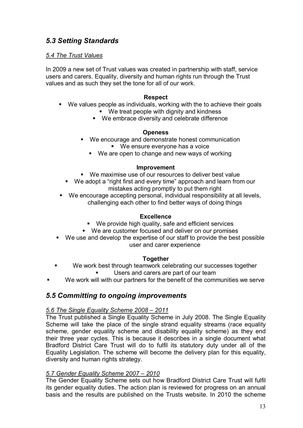# *5.3 Setting Standards*

### *5.4 The Trust Values*

In 2009 a new set of Trust values was created in partnership with staff, service users and carers. Equality, diversity and human rights run through the Trust values and as such they set the tone for all of our work.

### **Respect**

- We values people as individuals, working with the to achieve their goals ■ We treat people with dignity and kindness
	- We embrace diversity and celebrate difference

### **Openess**

- **We encourage and demonstrate honest communication** 
	- We ensure everyone has a voice
	- $\blacksquare$  We are open to change and new ways of working

### **Improvement**

- **We maximise use of our resources to deliver best value**
- We adopt a "right first and every time" approach and learn from our mistakes acting promptly to put them right
- We encourage accepting personal, individual responsibility at all levels, challenging each other to find better ways of doing things

### **Excellence**

- We provide high quality, safe and efficient services
- We are customer focused and deliver on our promises
- We use and develop the expertise of our staff to provide the best possible user and carer experience

### **Together**

- We work best through teamwork celebrating our successes together Users and carers are part of our team
- We work will with our partners for the benefit of the communities we serve

# *5.5 Committing to ongoing improvements*

# *5.6 The Single Equality Scheme 2008 – 2011*

The Trust published a Single Equality Scheme in July 2008. The Single Equality Scheme will take the place of the single strand equality streams (race equality scheme, gender equality scheme and disability equality scheme) as they end their three year cycles. This is because it describes in a single document what Bradford District Care Trust will do to fulfil its statutory duty under all of the Equality Legislation. The scheme will become the delivery plan for this equality, diversity and human rights strategy.

### *5.7 Gender Equality Scheme 2007 – 2010*

The Gender Equality Scheme sets out how Bradford District Care Trust will fulfil its gender equality duties. The action plan is reviewed for progress on an annual basis and the results are published on the Trusts website. In 2010 the scheme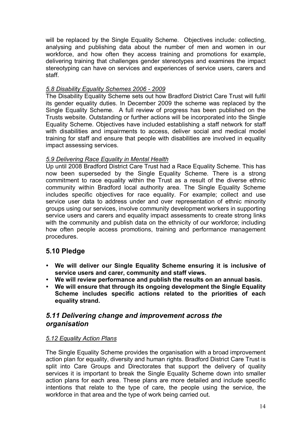will be replaced by the Single Equality Scheme. Objectives include: collecting, analysing and publishing data about the number of men and women in our workforce, and how often they access training and promotions for example, delivering training that challenges gender stereotypes and examines the impact stereotyping can have on services and experiences of service users, carers and staff.

### *5.8 Disability Equality Schemes 2006 2009*

The Disability Equality Scheme sets out how Bradford District Care Trust will fulfil its gender equality duties. In December 2009 the scheme was replaced by the Single Equality Scheme. A full review of progress has been published on the Trusts website. Outstanding or further actions will be incorporated into the Single Equality Scheme. Objectives have included establishing a staff network for staff with disabilities and impairments to access, deliver social and medical model training for staff and ensure that people with disabilities are involved in equality impact assessing services.

### *5.9 Delivering Race Equality in Mental Health*

Up until 2008 Bradford District Care Trust had a Race Equality Scheme. This has now been superseded by the Single Equality Scheme. There is a strong commitment to race equality within the Trust as a result of the diverse ethnic community within Bradford local authority area. The Single Equality Scheme includes specific objectives for race equality. For example; collect and use service user data to address under and over representation of ethnic minority groups using our services, involve community development workers in supporting service users and carers and equality impact assessments to create strong links with the community and publish data on the ethnicity of our workforce; including how often people access promotions, training and performance management procedures.

# **5.10 Pledge**

- ü **We will deliver our Single Equality Scheme ensuring it is inclusive of service users and carer, community and staff views.**
- ü **We will review performance and publish the results on an annual basis.**
- ü **We will ensure that through its ongoing development the Single Equality Scheme includes specific actions related to the priorities of each equality strand.**

# *5.11 Delivering change and improvement across the organisation*

### *5.12 Equality Action Plans*

The Single Equality Scheme provides the organisation with a broad improvement action plan for equality, diversity and human rights. Bradford District Care Trust is split into Care Groups and Directorates that support the delivery of quality services it is important to break the Single Equality Scheme down into smaller action plans for each area. These plans are more detailed and include specific intentions that relate to the type of care, the people using the service, the workforce in that area and the type of work being carried out.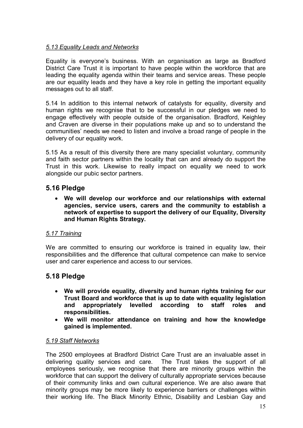### *5.13 Equality Leads and Networks*

Equality is everyone's business. With an organisation as large as Bradford District Care Trust it is important to have people within the workforce that are leading the equality agenda within their teams and service areas. These people are our equality leads and they have a key role in getting the important equality messages out to all staff.

5.14 In addition to this internal network of catalysts for equality, diversity and human rights we recognise that to be successful in our pledges we need to engage effectively with people outside of the organisation. Bradford, Keighley and Craven are diverse in their populations make up and so to understand the communities' needs we need to listen and involve a broad range of people in the delivery of our equality work.

5.15 As a result of this diversity there are many specialist voluntary, community and faith sector partners within the locality that can and already do support the Trust in this work. Likewise to really impact on equality we need to work alongside our pubic sector partners.

# **5.16 Pledge**

· **We will develop our workforce and our relationships with external agencies, service users, carers and the community to establish a network of expertise to support the delivery of our Equality, Diversity and Human Rights Strategy.**

# *5.17 Training*

We are committed to ensuring our workforce is trained in equality law, their responsibilities and the difference that cultural competence can make to service user and carer experience and access to our services.

# **5.18 Pledge**

- · **We will provide equality, diversity and human rights training for our Trust Board and workforce that is up to date with equality legislation and appropriately levelled according to staff roles and responsibilities.**
- · **We will monitor attendance on training and how the knowledge gained is implemented.**

### *5.19 Staff Networks*

The 2500 employees at Bradford District Care Trust are an invaluable asset in delivering quality services and care. The Trust takes the support of all employees seriously, we recognise that there are minority groups within the workforce that can support the delivery of culturally appropriate services because of their community links and own cultural experience. We are also aware that minority groups may be more likely to experience barriers or challenges within their working life. The Black Minority Ethnic, Disability and Lesbian Gay and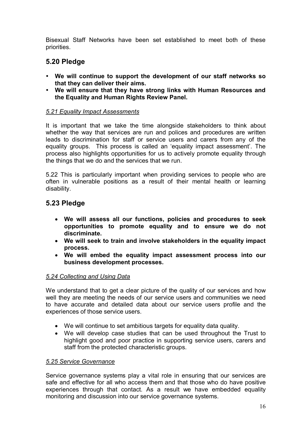Bisexual Staff Networks have been set established to meet both of these priorities.

# **5.20 Pledge**

- ü **We will continue to support the development of our staff networks so that they can deliver their aims.**
- ü **We will ensure that they have strong links with Human Resources and the Equality and Human Rights Review Panel.**

### *5.21 Equality Impact Assessments*

It is important that we take the time alongside stakeholders to think about whether the way that services are run and polices and procedures are written leads to discrimination for staff or service users and carers from any of the equality groups. This process is called an 'equality impact assessment'. The process also highlights opportunities for us to actively promote equality through the things that we do and the services that we run.

5.22 This is particularly important when providing services to people who are often in vulnerable positions as a result of their mental health or learning disability.

# **5.23 Pledge**

- · **We will assess all our functions, policies and procedures to seek opportunities to promote equality and to ensure we do not discriminate.**
- · **We will seek to train and involve stakeholders in the equality impact process.**
- · **We will embed the equality impact assessment process into our business development processes.**

### *5.24 Collecting and Using Data*

We understand that to get a clear picture of the quality of our services and how well they are meeting the needs of our service users and communities we need to have accurate and detailed data about our service users profile and the experiences of those service users.

- · We will continue to set ambitious targets for equality data quality.
- · We will develop case studies that can be used throughout the Trust to highlight good and poor practice in supporting service users, carers and staff from the protected characteristic groups.

### *5.25 Service Governance*

Service governance systems play a vital role in ensuring that our services are safe and effective for all who access them and that those who do have positive experiences through that contact. As a result we have embedded equality monitoring and discussion into our service governance systems.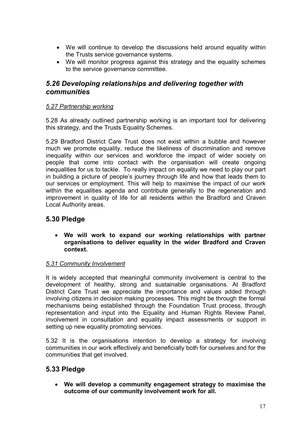- · We will continue to develop the discussions held around equality within the Trusts service governance systems.
- · We will monitor progress against this strategy and the equality schemes to the service governance committee.

# *5.26 Developing relationships and delivering together with communities*

### *5.27 Partnership working*

5.28 As already outlined partnership working is an important tool for delivering this strategy, and the Trusts Equality Schemes.

5.29 Bradford District Care Trust does not exist within a bubble and however much we promote equality, reduce the likeliness of discrimination and remove inequality within our services and workforce the impact of wider society on people that come into contact with the organisation will create ongoing inequalities for us to tackle. To really impact on equality we need to play our part in building a picture of people's journey through life and how that leads them to our services or employment. This will help to maximise the impact of our work within the equalities agenda and contribute generally to the regeneration and improvement in quality of life for all residents within the Bradford and Craven Local Authority areas.

# **5.30 Pledge**

· **We will work to expand our working relationships with partner organisations to deliver equality in the wider Bradford and Craven context.**

# *5.31 Community Involvement*

It is widely accepted that meaningful community involvement is central to the development of healthy, strong and sustainable organisations. At Bradford District Care Trust we appreciate the importance and values added through involving citizens in decision making processes. This might be through the formal mechanisms being established through the Foundation Trust process, through representation and input into the Equality and Human Rights Review Panel, involvement in consultation and equality impact assessments or support in setting up new equality promoting services.

5.32 It is the organisations intention to develop a strategy for involving communities in our work effectively and beneficially both for ourselves and for the communities that get involved.

# **5.33 Pledge**

· **We will develop a community engagement strategy to maximise the outcome of our community involvement work for all.**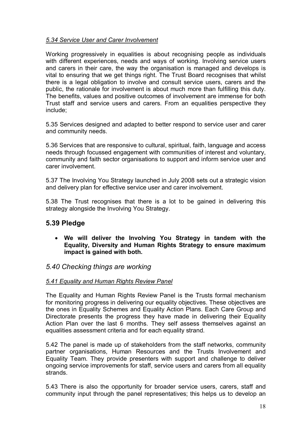### *5.34 Service User and Carer Involvement*

Working progressively in equalities is about recognising people as individuals with different experiences, needs and ways of working. Involving service users and carers in their care, the way the organisation is managed and develops is vital to ensuring that we get things right. The Trust Board recognises that whilst there is a legal obligation to involve and consult service users, carers and the public, the rationale for involvement is about much more than fulfilling this duty. The benefits, values and positive outcomes of involvement are immense for both Trust staff and service users and carers. From an equalities perspective they include;

5.35 Services designed and adapted to better respond to service user and carer and community needs.

5.36 Services that are responsive to cultural, spiritual, faith, language and access needs through focussed engagement with communities of interest and voluntary, community and faith sector organisations to support and inform service user and carer involvement.

5.37 The Involving You Strategy launched in July 2008 sets out a strategic vision and delivery plan for effective service user and carer involvement.

5.38 The Trust recognises that there is a lot to be gained in delivering this strategy alongside the Involving You Strategy.

# **5.39 Pledge**

· **We will deliver the Involving You Strategy in tandem with the Equality, Diversity and Human Rights Strategy to ensure maximum impact is gained with both.**

# *5.40 Checking things are working*

### *5.41 Equality and Human Rights Review Panel*

The Equality and Human Rights Review Panel is the Trusts formal mechanism for monitoring progress in delivering our equality objectives. These objectives are the ones in Equality Schemes and Equality Action Plans. Each Care Group and Directorate presents the progress they have made in delivering their Equality Action Plan over the last 6 months. They self assess themselves against an equalities assessment criteria and for each equality strand.

5.42 The panel is made up of stakeholders from the staff networks, community partner organisations, Human Resources and the Trusts Involvement and Equality Team. They provide presenters with support and challenge to deliver ongoing service improvements for staff, service users and carers from all equality strands.

5.43 There is also the opportunity for broader service users, carers, staff and community input through the panel representatives; this helps us to develop an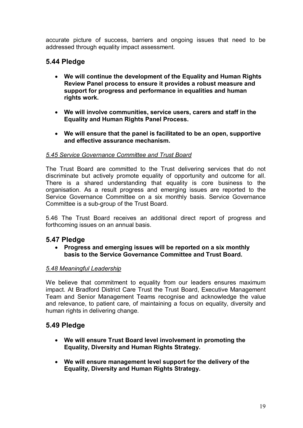accurate picture of success, barriers and ongoing issues that need to be addressed through equality impact assessment.

# **5.44 Pledge**

- · **We will continue the development of the Equality and Human Rights Review Panel process to ensure it provides a robust measure and support for progress and performance in equalities and human rights work.**
- · **We will involve communities, service users, carers and staff in the Equality and Human Rights Panel Process.**
- · **We will ensure that the panel is facilitated to be an open, supportive and effective assurance mechanism.**

### *5.45 Service Governance Committee and Trust Board*

The Trust Board are committed to the Trust delivering services that do not discriminate but actively promote equality of opportunity and outcome for all. There is a shared understanding that equality is core business to the organisation. As a result progress and emerging issues are reported to the Service Governance Committee on a six monthly basis. Service Governance Committee is a sub-group of the Trust Board.

5.46 The Trust Board receives an additional direct report of progress and forthcoming issues on an annual basis.

# **5.47 Pledge**

· **Progress and emerging issues will be reported on a six monthly basis to the Service Governance Committee and Trust Board.**

### *5.48 Meaningful Leadership*

We believe that commitment to equality from our leaders ensures maximum impact. At Bradford District Care Trust the Trust Board, Executive Management Team and Senior Management Teams recognise and acknowledge the value and relevance, to patient care, of maintaining a focus on equality, diversity and human rights in delivering change.

# **5.49 Pledge**

- · **We will ensure Trust Board level involvement in promoting the Equality, Diversity and Human Rights Strategy.**
- · **We will ensure management level support for the delivery of the Equality, Diversity and Human Rights Strategy.**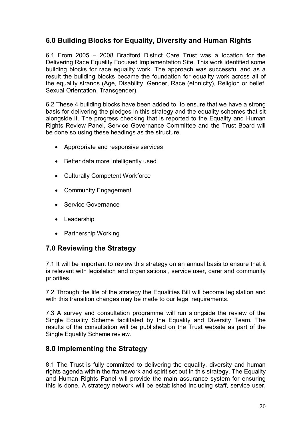# **6.0 Building Blocks for Equality, Diversity and Human Rights**

6.1 From 2005 – 2008 Bradford District Care Trust was a location for the Delivering Race Equality Focused Implementation Site. This work identified some building blocks for race equality work. The approach was successful and as a result the building blocks became the foundation for equality work across all of the equality strands (Age, Disability, Gender, Race (ethnicity), Religion or belief, Sexual Orientation, Transgender).

6.2 These 4 building blocks have been added to, to ensure that we have a strong basis for delivering the pledges in this strategy and the equality schemes that sit alongside it. The progress checking that is reported to the Equality and Human Rights Review Panel, Service Governance Committee and the Trust Board will be done so using these headings as the structure.

- · Appropriate and responsive services
- · Better data more intelligently used
- · Culturally Competent Workforce
- Community Engagement
- Service Governance
- · Leadership
- · Partnership Working

# **7.0 Reviewing the Strategy**

7.1 It will be important to review this strategy on an annual basis to ensure that it is relevant with legislation and organisational, service user, carer and community priorities.

7.2 Through the life of the strategy the Equalities Bill will become legislation and with this transition changes may be made to our legal requirements.

7.3 A survey and consultation programme will run alongside the review of the Single Equality Scheme facilitated by the Equality and Diversity Team. The results of the consultation will be published on the Trust website as part of the Single Equality Scheme review.

# **8.0 Implementing the Strategy**

8.1 The Trust is fully committed to delivering the equality, diversity and human rights agenda within the framework and spirit set out in this strategy. The Equality and Human Rights Panel will provide the main assurance system for ensuring this is done. A strategy network will be established including staff, service user,